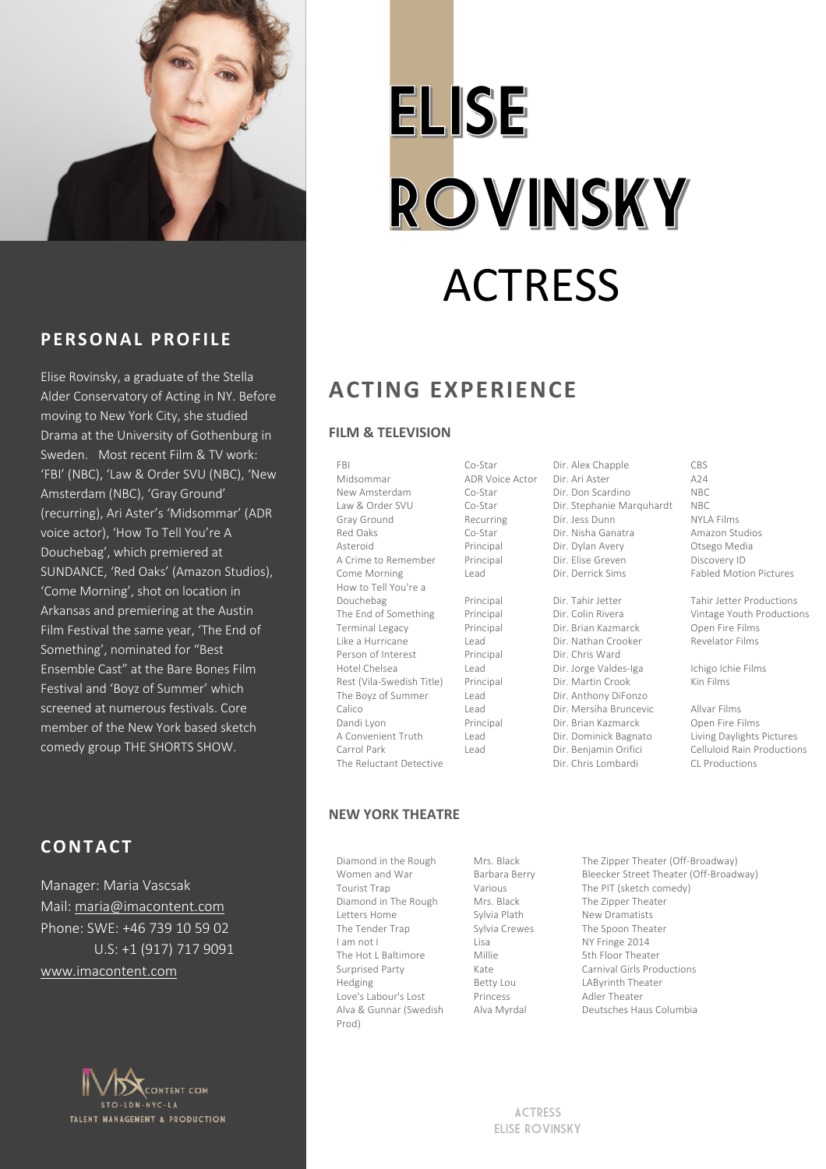

# **ELISE ROVINSKY** ACTRESS

## **P ERSONAL PROFILE**

Elise Rovinsky, a graduate of the Stella Alder Conservatory of Acting in NY. Before moving to New York City, she studied Drama at the University of Gothenburg in Sweden. Most recent Film & TV work: 'FBI' (NBC), 'Law & Order SVU (NBC), 'New Amsterdam (NBC), 'Gray Ground' (recurring), Ari Aster's 'Midsommar' (ADR voice actor), 'How To Tell You're A Douchebag', which premiered at SUNDANCE, 'Red Oaks' (Amazon Studios), 'Come Morning', shot on location in Arkansas and premiering at the Austin Film Festival the same year, 'The End of Something', nominated for "Best Ensemble Cast" at the Bare Bones Film Festival and 'Boyz of Summer' which screened at numerous festivals. Core member of the New York based sketch comedy group THE SHORTS SHOW.

## **CONTACT**

Manager: Maria Vascsak Mail: maria@imacontent.com Phone: SWE: +46 739 10 59 02 U.S: +1 (917) 717 9091 www.imacontent.com



# **ACTING EXPERIENCE**

#### **FILM & TELEVISION**

FBI Midsommar New Amsterdam Law & Order SVU Gray Ground Red Oaks Asteroid A Crime to Remember Come Morning How to Tell You're a Douchebag The End of Something Terminal Legacy Like a Hurricane Person of Interest Hotel Chelsea Rest (Vila-Swedish Title) The Boyz of Summer Calico Dandi Lyon A Convenient Truth Carrol Park The Reluctant Detective

ADR Voice Actor Co-Star Co-Star Recurring Co-Star Principal Principal Lead Principal

Co-Star

```
Principal 
Principal
Lead
Principal
Lead
Principal 
Lead
Lead
Principal
Lead
Lead
```
Dir. Ari Aster Dir. Don Scardino Dir. Stephanie Marquhardt Dir. Jess Dunn Dir. Nisha Ganatra Dir. Dylan Avery Dir. Elise Greven Dir. Derrick Sims

Dir. Alex Chapple

Dir. Tahir Jetter Dir. Colin Rivera Dir. Brian Kazmarck Dir. Nathan Crooker Dir. Chris Ward Dir. Jorge Valdes-Iga Dir. Martin Crook Dir. Anthony DiFonzo Dir. Mersiha Bruncevic Dir. Brian Kazmarck Dir. Dominick Bagnato Dir. Benjamin Orifici Dir. Chris Lombardi

#### CBS  $\triangle 24$ NBC NBC NYLA Films Amazon Studios Otsego Media Discovery ID Fabled Motion Pictures

Tahir Jetter Productions Vintage Youth Productions Open Fire Films Revelator Films

Ichigo Ichie Films Kin Films

Allvar Films Open Fire Films Living Daylights Pictures Celluloid Rain Productions CL Productions

#### **NEW YORK THEATRE**

Diamond in the Rough Women and War Tourist Trap Diamond in The Rough Letters Home The Tender Trap I am not I The Hot L Baltimore Surprised Party Hedging Love's Labour's Lost Alva & Gunnar (Swedish Prod)

Mrs. Black Barbara Berry Various Mrs. Black Sylvia Plath Sylvia Crewes Lisa Millie Kate Betty Lou Princess Alva Myrdal

The Zipper Theater (Off-Broadway) Bleecker Street Theater (Off-Broadway) The PIT (sketch comedy) The Zipper Theater New Dramatists The Spoon Theater NY Fringe 2014 5th Floor Theater Carnival Girls Productions LAByrinth Theater Adler Theater Deutsches Haus Columbia

ACTRESS ELISE ROVINSKY